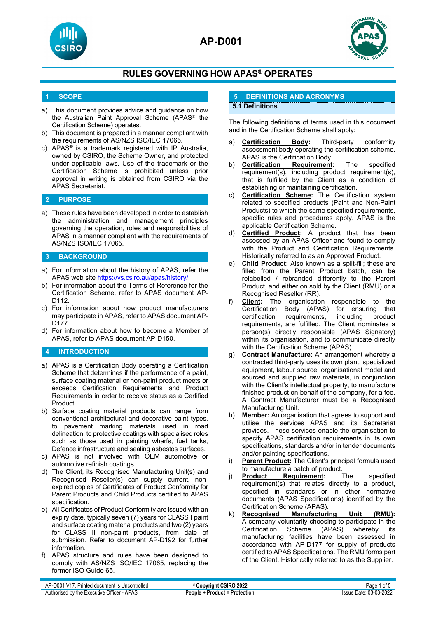





## **1 SCOPE**

- a) This document provides advice and guidance on how the Australian Paint Approval Scheme (APAS® the Certification Scheme) operates.
- b) This document is prepared in a manner compliant with the requirements of AS/NZS ISO/IEC 17065.
- c) APAS<sup>®</sup> is a trademark registered with IP Australia, owned by CSIRO, the Scheme Owner, and protected under applicable laws. Use of the trademark or the Certification Scheme is prohibited unless prior approval in writing is obtained from CSIRO via the APAS Secretariat.

#### **2 PURPOSE**

a) These rules have been developed in order to establish the administration and management principles governing the operation, roles and responsibilities of APAS in a manner compliant with the requirements of AS/NZS ISO/IEC 17065.

#### **3 BACKGROUND**

- a) For information about the history of APAS, refer the APAS web site <https://vs.csiro.au/apas/history/>
- b) For information about the Terms of Reference for the Certification Scheme, refer to APAS document AP-D112.
- c) For information about how product manufacturers may participate in APAS, refer to APAS document AP-D177.
- d) For information about how to become a Member of APAS, refer to APAS document AP-D150.

#### **4 INTRODUCTION**

- a) APAS is a Certification Body operating a Certification Scheme that determines if the performance of a paint, surface coating material or non-paint product meets or exceeds Certification Requirements and Product Requirements in order to receive status as a Certified Product.
- b) Surface coating material products can range from conventional architectural and decorative paint types, to pavement marking materials used in road delineation, to protective coatings with specialised roles such as those used in painting wharfs, fuel tanks, Defence infrastructure and sealing asbestos surfaces.
- c) APAS is not involved with OEM automotive or automotive refinish coatings.
- d) The Client, its Recognised Manufacturing Unit(s) and Recognised Reseller(s) can supply current, nonexpired copies of Certificates of Product Conformity for Parent Products and Child Products certified to APAS specification.
- e) All Certificates of Product Conformity are issued with an expiry date, typically seven (7) years for CLASS I paint and surface coating material products and two (2) years for CLASS II non-paint products, from date of submission. Refer to document AP-D192 for further information.
- f) APAS structure and rules have been designed to comply with AS/NZS ISO/IEC 17065, replacing the former ISO Guide 65.

## **5 DEFINITIONS AND ACRONYMS**

#### **5.1 Definitions**

The following definitions of terms used in this document and in the Certification Scheme shall apply:

- **Certification Body:** Third-party conformity assessment body operating the certification scheme. APAS is the Certification Body.<br>Certification Requirement:
- b) **Certification Requirement:** The specified requirement(s), including product requirement(s), that is fulfilled by the Client as a condition of establishing or maintaining certification.
- c) **Certification Scheme:** The Certification system related to specified products (Paint and Non-Paint Products) to which the same specified requirements, specific rules and procedures apply. APAS is the applicable Certification Scheme.
- d) **Certified Product:** A product that has been assessed by an APAS Officer and found to comply with the Product and Certification Requirements. Historically referred to as an Approved Product.
- e) **Child Product:** Also known as a split-fill; these are filled from the Parent Product batch, can be relabelled / rebranded differently to the Parent Product, and either on sold by the Client (RMU) or a Recognised Reseller (RR).
- f) **Client:** The organisation responsible to the Certification Body (APAS) for ensuring that<br>certification requirements, including product requirements, requirements, are fulfilled. The Client nominates a person(s) directly responsible (APAS Signatory) within its organisation, and to communicate directly with the Certification Scheme (APAS).
- g) **Contract Manufacture:** An arrangement whereby a contracted third-party uses its own plant, specialized equipment, labour source, organisational model and sourced and supplied raw materials, in conjunction with the Client's intellectual property, to manufacture finished product on behalf of the company, for a fee. A Contract Manufacturer must be a Recognised Manufacturing Unit.
- h) **Member:** An organisation that agrees to support and utilise the services APAS and its Secretariat provides. These services enable the organisation to specify APAS certification requirements in its own specifications, standards and/or in tender documents and/or painting specifications.
- i) **Parent Product:** The Client's principal formula used to manufacture a batch of product.
- j) **Product Requirement:** The specified requirement(s) that relates directly to a product, specified in standards or in other normative documents (APAS Specifications) identified by the
- Certification Scheme (APAS).<br>Recognised Manufacturing k) **Recognised Manufacturing Unit (RMU):** A company voluntarily choosing to participate in the Certification Scheme manufacturing facilities have been assessed in accordance with AP-D177 for supply of products certified to APAS Specifications. The RMU forms part of the Client. Historically referred to as the Supplier.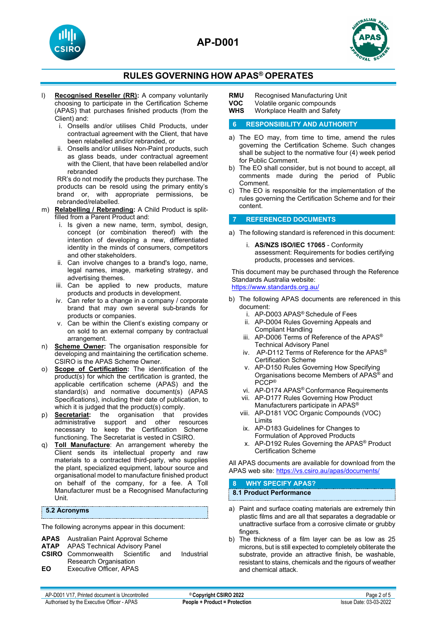





- l) **Recognised Reseller (RR):** A company voluntarily choosing to participate in the Certification Scheme (APAS) that purchases finished products (from the Client) and:
	- i. Onsells and/or utilises Child Products, under contractual agreement with the Client, that have been relabelled and/or rebranded, or
	- ii. Onsells and/or utilises Non-Paint products, such as glass beads, under contractual agreement with the Client, that have been relabelled and/or rebranded

RR's do not modify the products they purchase. The products can be resold using the primary entity's brand or, with appropriate permissions, be rebranded/relabelled.

- m) **Relabelling / Rebranding:** A Child Product is splitfilled from a Parent Product and:
	- i. Is given a new name, term, symbol, design, concept (or combination thereof) with the intention of developing a new, differentiated identity in the minds of consumers, competitors and other stakeholders.
	- ii. Can involve changes to a brand's logo, name, legal names, image, marketing strategy, and advertising themes.
	- iii. Can be applied to new products, mature products and products in development.
	- iv. Can refer to a change in a company / corporate brand that may own several sub-brands for products or companies.
	- v. Can be within the Client's existing company or on sold to an external company by contractual arrangement.
- n) **Scheme Owner:** The organisation responsible for developing and maintaining the certification scheme. CSIRO is the APAS Scheme Owner.
- o) **Scope of Certification:** The identification of the product(s) for which the certification is granted, the applicable certification scheme (APAS) and the standard(s) and normative document(s) (APAS Specifications), including their date of publication, to which it is judged that the product(s) comply.
- p) **<u>Secretariat</u>:** the organisation that provides administrative support and other resources administrative support and necessary to keep the Certification Scheme functioning. The Secretariat is vested in CSIRO.
- q) **Toll Manufacture**: An arrangement whereby the Client sends its intellectual property and raw materials to a contracted third-party, who supplies the plant, specialized equipment, labour source and organisational model to manufacture finished product on behalf of the company, for a fee. A Toll Manufacturer must be a Recognised Manufacturing Unit.

## **5.2 Acronyms**

The following acronyms appear in this document:

- **APAS** Australian Paint Approval Scheme
- **APAS Technical Advisory Panel<br>Commonwealth Scientific a**
- **CSIRO** Commonwealth Scientific and Industrial Research Organisation
- **EO** Executive Officer, APAS

**RMU** Recognised Manufacturing Unit<br>**VOC** Volatile organic compounds

**VOC** Volatile organic compounds<br>**WHS** Workplace Health and Safet

**Workplace Health and Safety** 

## **6 RESPONSIBILITY AND AUTHORITY**

- a) The EO may, from time to time, amend the rules governing the Certification Scheme. Such changes shall be subject to the normative four (4) week period for Public Comment.
- b) The EO shall consider, but is not bound to accept, all comments made during the period of Public Comment.
- c) The EO is responsible for the implementation of the rules governing the Certification Scheme and for their content.

#### **7 REFERENCED DOCUMENTS**

- a) The following standard is referenced in this document:
	- i. **AS/NZS ISO/IEC 17065** Conformity assessment: Requirements for bodies certifying products, processes and services.

This document may be purchased through the Reference Standards Australia website: <https://www.standards.org.au/>

- b) The following APAS documents are referenced in this document:
	- i. AP-D003 APAS® Schedule of Fees
	- ii. AP-D004 Rules Governing Appeals and Compliant Handling
	- iii. AP-D006 Terms of Reference of the APAS® Technical Advisory Panel
	- iv. AP-D112 Terms of Reference for the APAS® Certification Scheme
	- v. AP-D150 Rules Governing How Specifying Organisations become Members of APAS® and PCCP®
	- vi. AP-D174 APAS® Conformance Requirements
	- vii. AP-D177 Rules Governing How Product Manufacturers participate in APAS®
	- viii. AP-D181 VOC Organic Compounds (VOC) Limits
	- ix. AP-D183 Guidelines for Changes to Formulation of Approved Products
	- x. AP-D192 Rules Governing the APAS® Product Certification Scheme

All APAS documents are available for download from the APAS web site: <https://vs.csiro.au/apas/documents/>

#### **8 WHY SPECIFY APAS? 8.1 Product Performance**

- a) Paint and surface coating materials are extremely thin plastic films and are all that separates a degradable or unattractive surface from a corrosive climate or grubby fingers.
- b) The thickness of a film layer can be as low as 25 microns, but is still expected to completely obliterate the substrate, provide an attractive finish, be washable, resistant to stains, chemicals and the rigours of weather and chemical attack.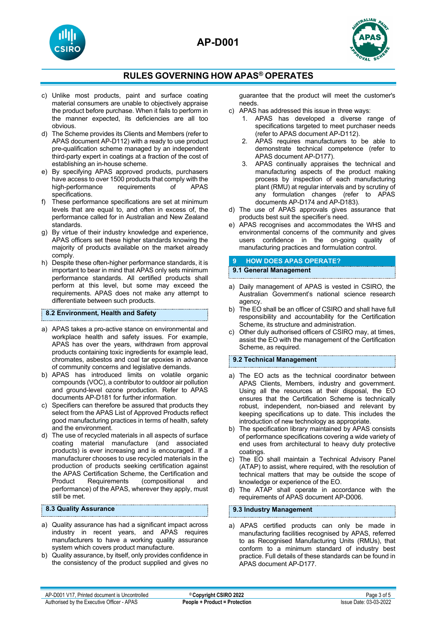





- c) Unlike most products, paint and surface coating material consumers are unable to objectively appraise the product before purchase. When it fails to perform in the manner expected, its deficiencies are all too obvious.
- d) The Scheme provides its Clients and Members (refer to APAS document AP-D112) with a ready to use product pre-qualification scheme managed by an independent third-party expert in coatings at a fraction of the cost of establishing an in-house scheme.
- e) By specifying APAS approved products, purchasers have access to over 1500 products that comply with the high-performance requirements of APAS specifications.
- These performance specifications are set at minimum levels that are equal to, and often in excess of, the performance called for in Australian and New Zealand standards.
- g) By virtue of their industry knowledge and experience, APAS officers set these higher standards knowing the majority of products available on the market already comply.
- h) Despite these often-higher performance standards, it is important to bear in mind that APAS only sets minimum performance standards. All certified products shall perform at this level, but some may exceed the requirements. APAS does not make any attempt to differentiate between such products.

#### **8.2 Environment, Health and Safety**

- a) APAS takes a pro-active stance on environmental and workplace health and safety issues. For example, APAS has over the years, withdrawn from approval products containing toxic ingredients for example lead, chromates, asbestos and coal tar epoxies in advance of community concerns and legislative demands.
- b) APAS has introduced limits on volatile organic compounds (VOC), a contributor to outdoor air pollution and ground-level ozone production. Refer to APAS documents AP-D181 for further information.
- c) Specifiers can therefore be assured that products they select from the APAS List of Approved Products reflect good manufacturing practices in terms of health, safety and the environment.
- d) The use of recycled materials in all aspects of surface coating material manufacture (and associated products) is ever increasing and is encouraged. If a manufacturer chooses to use recycled materials in the production of products seeking certification against the APAS Certification Scheme, the Certification and Product Requirements (compositional and performance) of the APAS, wherever they apply, must still be met.

#### **8.3 Quality Assurance**

- a) Quality assurance has had a significant impact across industry in recent years, and APAS requires manufacturers to have a working quality assurance system which covers product manufacture.
- b) Quality assurance, by itself, only provides confidence in the consistency of the product supplied and gives no

guarantee that the product will meet the customer's needs.

- c) APAS has addressed this issue in three ways:
	- 1. APAS has developed a diverse range of specifications targeted to meet purchaser needs (refer to APAS document AP-D112).
	- 2. APAS requires manufacturers to be able to demonstrate technical competence (refer to APAS document AP-D177).
	- 3. APAS continually appraises the technical and manufacturing aspects of the product making process by inspection of each manufacturing plant (RMU) at regular intervals and by scrutiny of any formulation changes (refer to APAS documents AP-D174 and AP-D183).
- d) The use of APAS approvals gives assurance that products best suit the specifier's need.
- e) APAS recognises and accommodates the WHS and environmental concerns of the community and gives users confidence in the on-going quality of manufacturing practices and formulation control.

#### **9 HOW DOES APAS OPERATE?**

#### **9.1 General Management**

- a) Daily management of APAS is vested in CSIRO, the Australian Government's national science research agency.
- b) The EO shall be an officer of CSIRO and shall have full responsibility and accountability for the Certification Scheme, its structure and administration.
- c) Other duly authorised officers of CSIRO may, at times, assist the EO with the management of the Certification Scheme, as required.

#### **9.2 Technical Management**

- a) The EO acts as the technical coordinator between APAS Clients, Members, industry and government. Using all the resources at their disposal, the EO ensures that the Certification Scheme is technically robust, independent, non-biased and relevant by keeping specifications up to date. This includes the introduction of new technology as appropriate.
- b) The specification library maintained by APAS consists of performance specifications covering a wide variety of end uses from architectural to heavy duty protective coatings.
- c) The EO shall maintain a Technical Advisory Panel (ATAP) to assist, where required, with the resolution of technical matters that may be outside the scope of knowledge or experience of the EO.
- d) The ATAP shall operate in accordance with the requirements of APAS document AP-D006.

#### **9.3 Industry Management**

a) APAS certified products can only be made in manufacturing facilities recognised by APAS, referred to as Recognised Manufacturing Units (RMUs), that conform to a minimum standard of industry best practice. Full details of these standards can be found in APAS document AP-D177.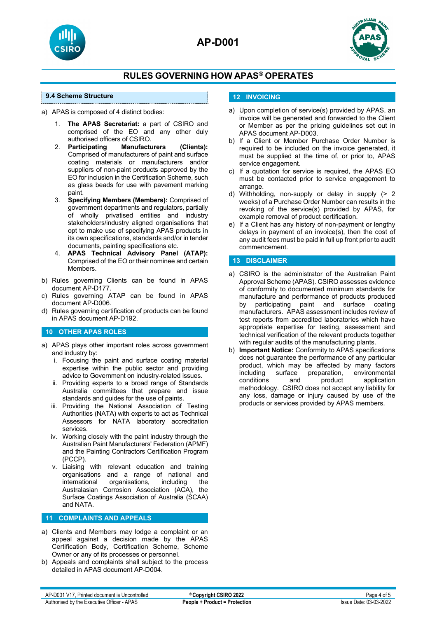



#### **9.4 Scheme Structure**

a) APAS is composed of 4 distinct bodies:

- 1. **The APAS Secretariat:** a part of CSIRO and comprised of the EO and any other duly authorised officers of CSIRO.<br>**Participating Manufacturers**
- 2. **Participating Manufacturers (Clients):** Comprised of manufacturers of paint and surface coating materials or manufacturers and/or suppliers of non-paint products approved by the EO for inclusion in the Certification Scheme, such as glass beads for use with pavement marking paint.
- 3. **Specifying Members (Members):** Comprised of government departments and regulators, partially of wholly privatised entities and industry stakeholders/industry aligned organisations that opt to make use of specifying APAS products in its own specifications, standards and/or in tender documents, painting specifications etc.
- 4. **APAS Technical Advisory Panel (ATAP):** Comprised of the EO or their nominee and certain Members.
- b) Rules governing Clients can be found in APAS document AP-D177.
- c) Rules governing ATAP can be found in APAS document AP-D006.
- d) Rules governing certification of products can be found in APAS document AP-D192.

#### **10 OTHER APAS ROLES**

- a) APAS plays other important roles across government and industry by:
	- i. Focusing the paint and surface coating material expertise within the public sector and providing advice to Government on industry-related issues.
	- ii. Providing experts to a broad range of Standards Australia committees that prepare and issue standards and guides for the use of paints.
	- iii. Providing the National Association of Testing Authorities (NATA) with experts to act as Technical Assessors for NATA laboratory accreditation services.
	- iv. Working closely with the paint industry through the Australian Paint Manufacturers' Federation (APMF) and the Painting Contractors Certification Program (PCCP).
	- v. Liaising with relevant education and training organisations and a range of national and<br>international organisations, including the international organisations, including the Australasian Corrosion Association (ACA), the Surface Coatings Association of Australia (SCAA) and NATA.

#### **11 COMPLAINTS AND APPEALS**

- a) Clients and Members may lodge a complaint or an appeal against a decision made by the APAS Certification Body, Certification Scheme, Scheme Owner or any of its processes or personnel.
- b) Appeals and complaints shall subject to the process detailed in APAS document AP-D004.

## **12 INVOICING**

- a) Upon completion of service(s) provided by APAS, an invoice will be generated and forwarded to the Client or Member as per the pricing guidelines set out in APAS document AP-D003.
- b) If a Client or Member Purchase Order Number is required to be included on the invoice generated, it must be supplied at the time of, or prior to, APAS service engagement.
- c) If a quotation for service is required, the APAS EO must be contacted prior to service engagement to arrange.
- d) Withholding, non-supply or delay in supply (> 2 weeks) of a Purchase Order Number can results in the revoking of the service(s) provided by APAS, for example removal of product certification.
- e) If a Client has any history of non-payment or lengthy delays in payment of an invoice(s), then the cost of any audit fees must be paid in full up front prior to audit commencement.

#### **13 DISCLAIMER**

- a) CSIRO is the administrator of the Australian Paint Approval Scheme (APAS). CSIRO assesses evidence of conformity to documented minimum standards for manufacture and performance of products produced<br>by participating paint and surface coating participating paint and surface coating manufacturers. APAS assessment includes review of test reports from accredited laboratories which have appropriate expertise for testing, assessment and technical verification of the relevant products together with regular audits of the manufacturing plants.
- b) **Important Notice:** Conformity to APAS specifications does not guarantee the performance of any particular product, which may be affected by many factors<br>including surface preparation, environmental including surface preparation, environmental<br>conditions and product application application methodology. CSIRO does not accept any liability for any loss, damage or injury caused by use of the products or services provided by APAS members.